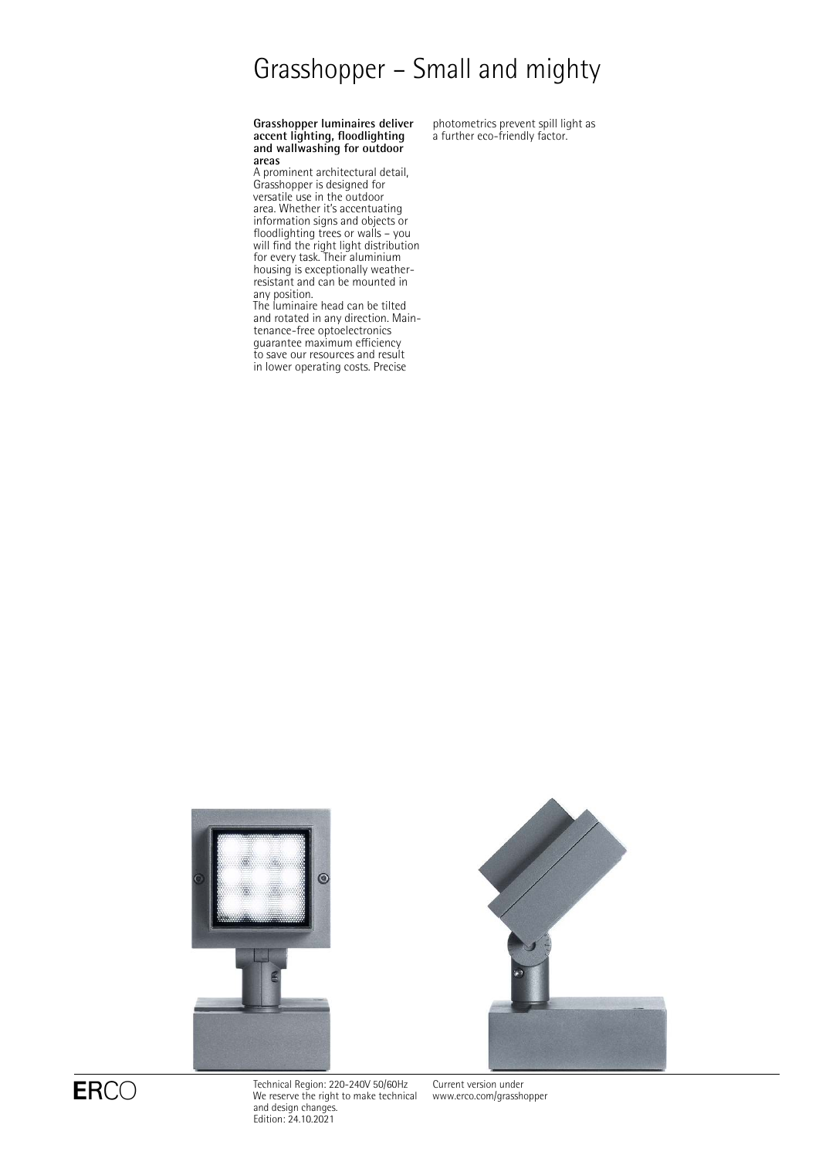# Grasshopper – Small and mighty

#### **Grasshopper luminaires deliver accent lighting, floodlighting and wallwashing for outdoor areas**

A prominent architectural detail, Grasshopper is designed for versatile use in the outdoor area. Whether it's accentuating information signs and objects or floodlighting trees or walls – you will find the right light distribution for every task. Their aluminium housing is exceptionally weatherresistant and can be mounted in any position.

The luminaire head can be tilted and rotated in any direction. Maintenance-free optoelectronics guarantee maximum efficiency to save our resources and result in lower operating costs. Precise

photometrics prevent spill light as a further eco-friendly factor.





 $\mathsf{ERCO} \qquad \qquad \begin{array}{l} \text{Technical Region: } 220\text{--}240\mathrm{V} \text{ } 50/60\mathrm{Hz} \ \text{We reserve the right to make technical} \end{array}$ and design changes. Edition: 24.10.2021

Current version under [www.erco.com/grasshopper](http://www.erco.com/grasshopper)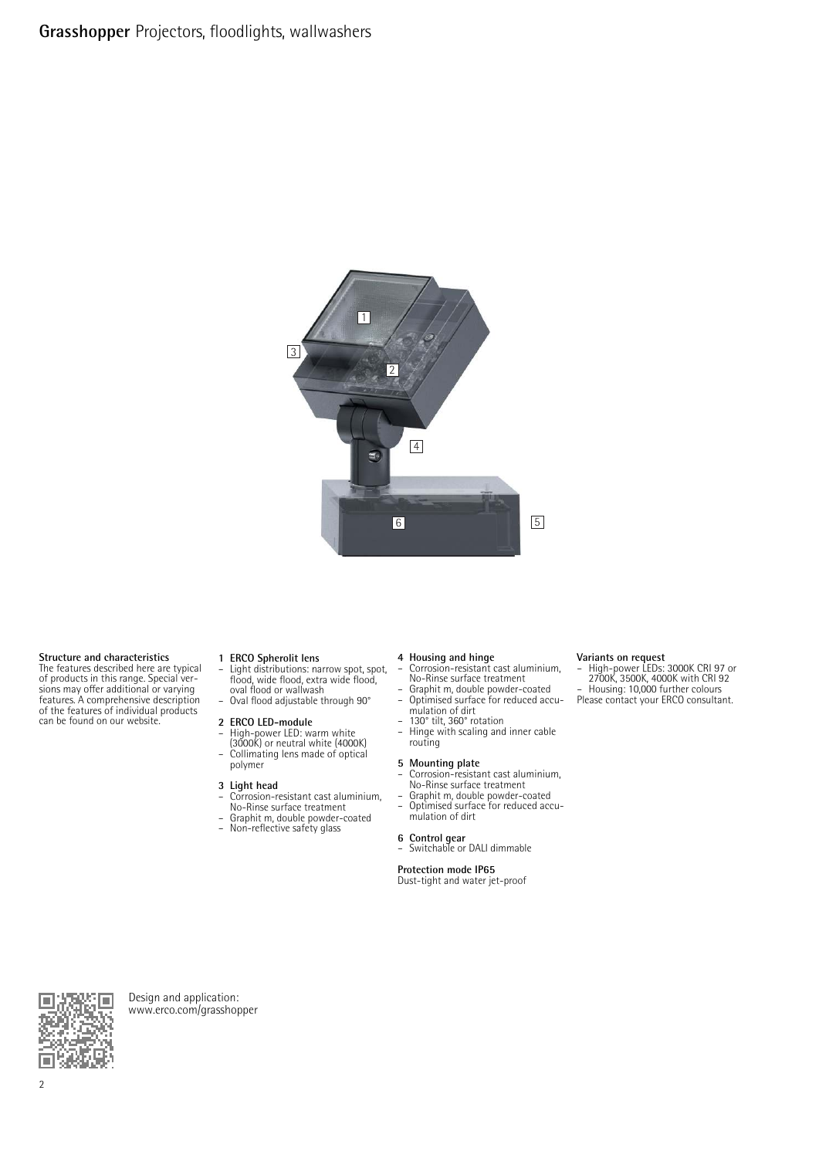

#### **Structure and characteristics**

The features described here are typical of products in this range. Special ver-sions may offer additional or varying features. A comprehensive description of the features of individual products can be found on our website.

**1 ERCO Spherolit lens** – Light distributions: narrow spot, spot, flood, wide flood, extra wide flood, oval flood or wallwash – Oval flood adjustable through 90°

#### **2 ERCO LED-module**

– High-power LED: warm white (3000K) or neutral white (4000K) – Collimating lens made of optical polymer

#### **3 Light head**

- Corrosion-resistant cast aluminium, No-Rinse surface treatment
- Graphit m, double powder-coated<br>– Non-reflective safety glass
- Non-reflective safety glass

- **4 Housing and hinge** Corrosion-resistant cast aluminium, No-Rinse surface treatment
- Graphit m, double powder-coated Optimised surface for reduced accumulation of dirt
- 130° tilt, 360° rotation
- Hinge with scaling and inner cable routing

#### **5 Mounting plate**

- Corrosion-resistant cast aluminium, No-Rinse surface treatment Graphit m, double powder-coated Optimised surface for reduced accu-
- mulation of dirt

#### **6 Control gear**

– Switchable or DALI dimmable

#### **Protection mode IP65**

Dust-tight and water jet-proof

**Variants on request** – High-power LEDs: 3000K CRI 97 or 2700K, 3500K, 4000K with CRI 92 – Housing: 10,000 further colours Please contact your ERCO consultant.

Design and application: [www.erco.com/grasshopper](http://www.erco.com/grasshopper)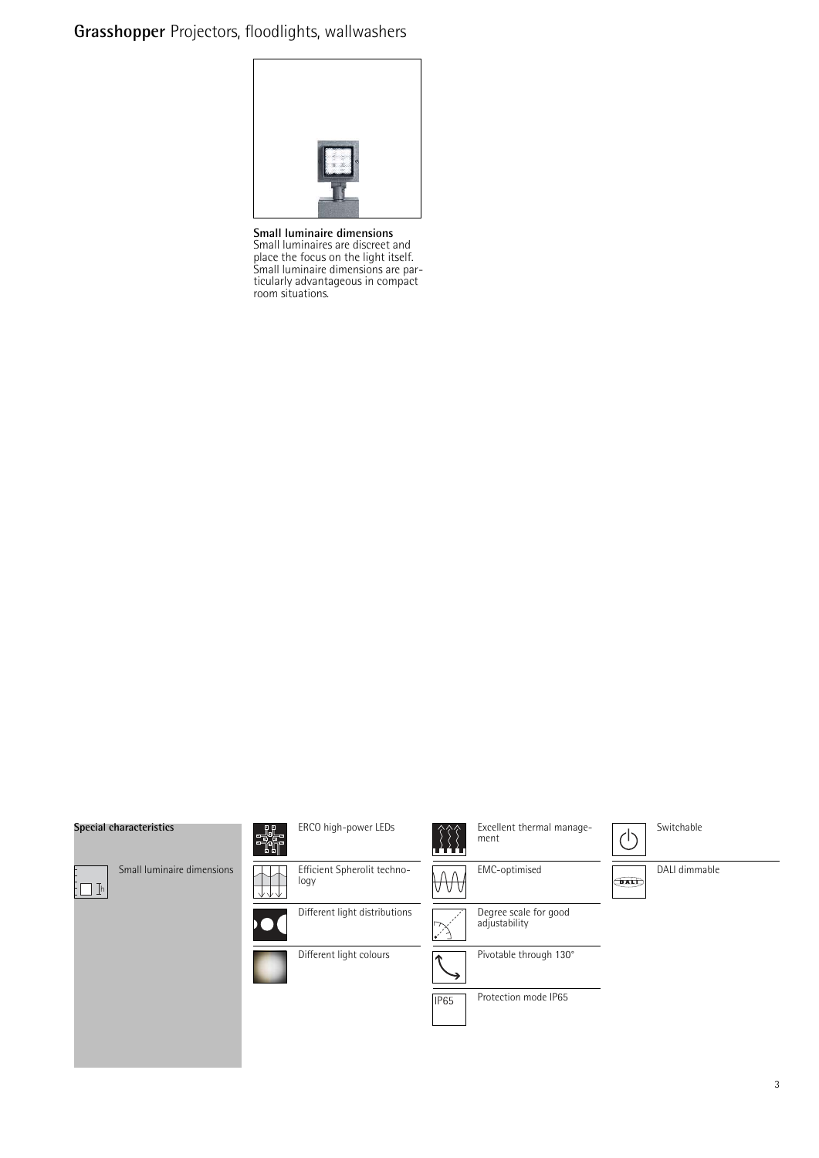## **Grasshopper** Projectors, floodlights, wallwashers

**Small luminaire dimensions** Small luminaires are discreet and place the focus on the light itself. Small luminaire dimensions are particularly advantageous in compact room situations.

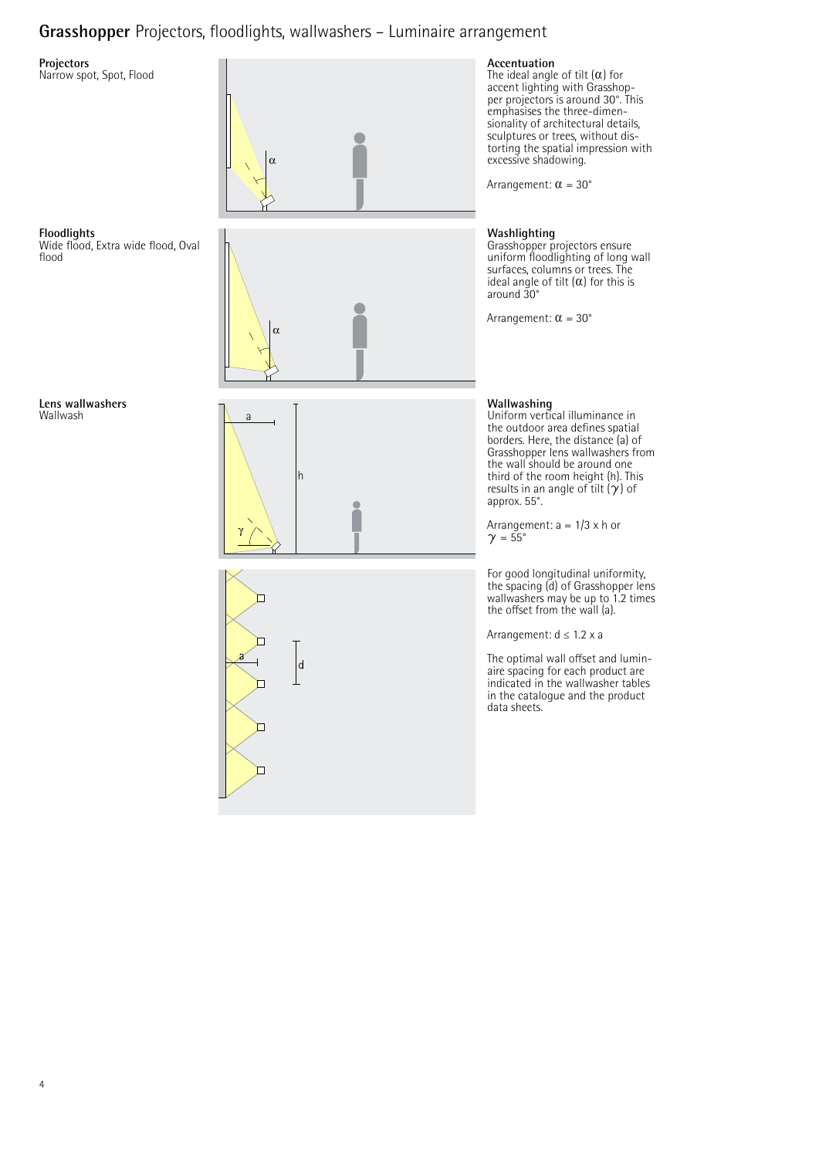## **Grasshopper** Projectors, floodlights, wallwashers – Luminaire arrangement

### **Projectors**

Narrow spot, Spot, Flood





**Floodlights** Wide flood, Extra wide flood, Oval flood





#### **Accentuation**

The ideal angle of tilt  $(\alpha)$  for accent lighting with Grasshop-per projectors is around 30°. This emphasises the three-dimensionality of architectural details, sculptures or trees, without distorting the spatial impression with excessive shadowing.

Arrangement:  $\alpha = 30^{\circ}$ 

### **Washlighting**

Grasshopper projectors ensure uniform floodlighting of long wall surfaces, columns or trees. The ideal angle of tilt  $(\alpha)$  for this is around 30°

Arrangement:  $\alpha = 30^{\circ}$ 

### **Wallwashing**

Uniform vertical illuminance in the outdoor area defines spatial borders. Here, the distance (a) of Grasshopper lens wallwashers from the wall should be around one third of the room height (h). This results in an angle of tilt  $(y)$  of approx. 55°.

Arrangement:  $a = 1/3 \times h$  or  $\gamma = 55^\circ$ 

For good longitudinal uniformity, the spacing (d) of Grasshopper lens wallwashers may be up to 1.2 times the offset from the wall (a).

Arrangement: d ≤ 1.2 x a

The optimal wall offset and luminaire spacing for each product are indicated in the wallwasher tables in the catalogue and the product data sheets.

**Lens wallwashers** Wallwash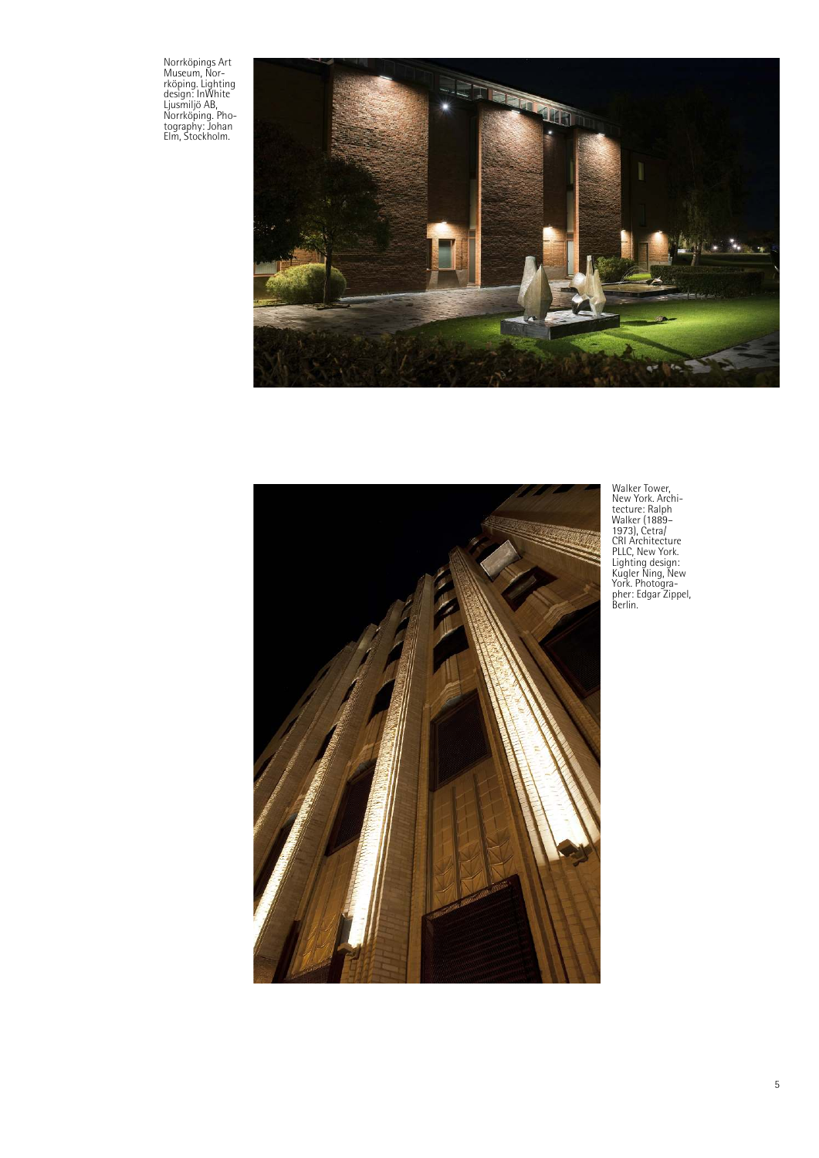Norrköpings Art Museum, Nor-rköping. Lighting design: InWhite Ljusmiljö AB, Norrköping. Pho-tography: Johan Elm, Stockholm.





Walker Tower,<br>
New York. Architecture<br>
tecture: Ralph<br>
Walker (1889–<br>
1973), Cetra/<br>
CRI Architecture<br>
PILC, New York.<br>
Lighting design:<br>
Kugler Ning, New<br>
York. Photogra-<br>
pher: Edgar Zippel,<br>
Berlin.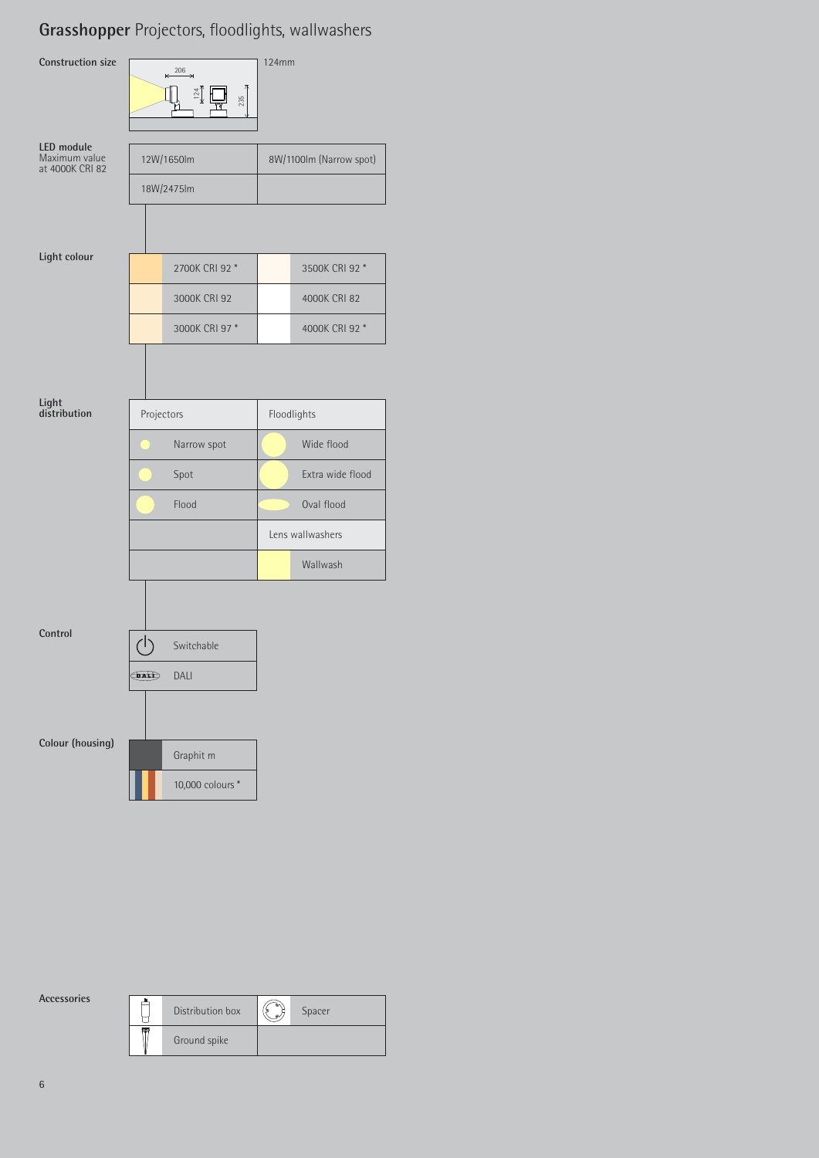## **Grasshopper** Projectors, floodlights, wallwashers



**Accessories**

|       | Distribution box | $^{\circ}$<br>$\omega$ | Spacer |
|-------|------------------|------------------------|--------|
| स्त्र | Ground spike     |                        |        |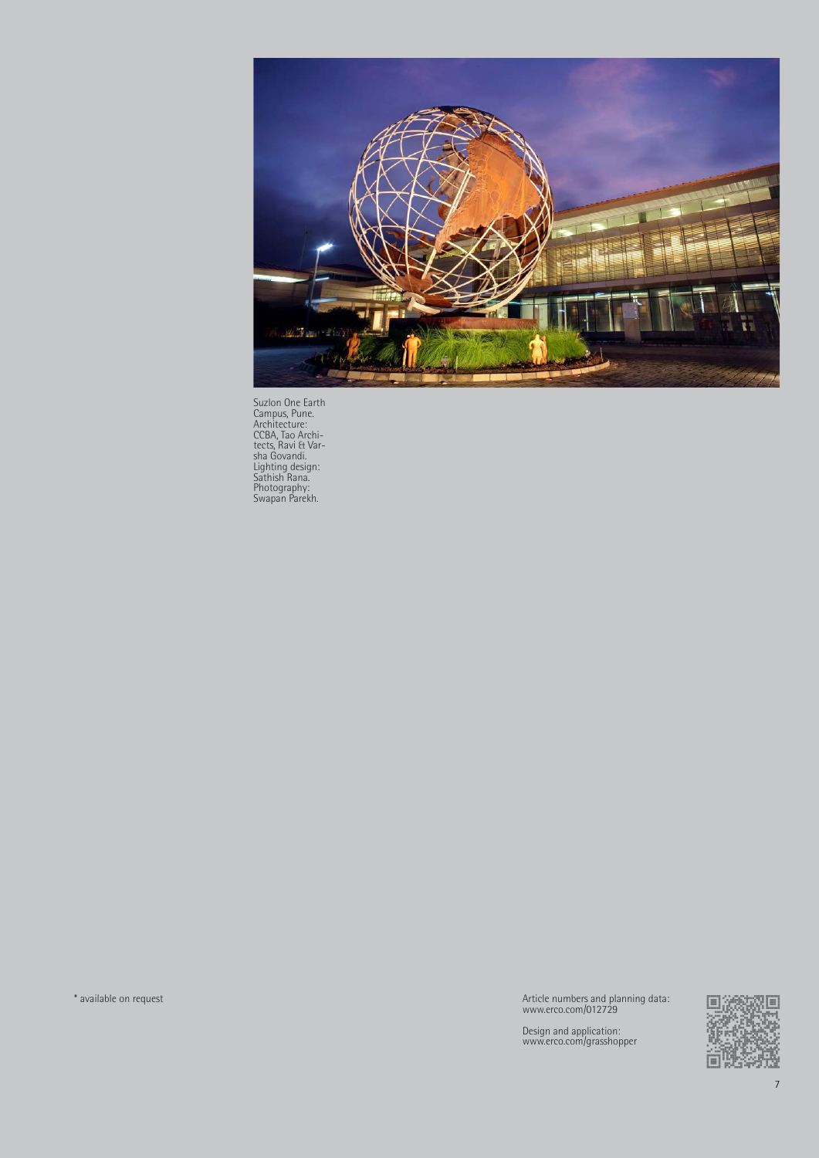

Suzlon One Earth Campus, Pune. Architecture: CCBA, Tao Archi-tects, Ravi & Var-sha Govandi. Lighting design: Sathish Rana. Photography: Swapan Parekh.

\* available on request

Article numbers and planning data: www.erco.com/012729

Design and application: www.erco.com/grasshopper